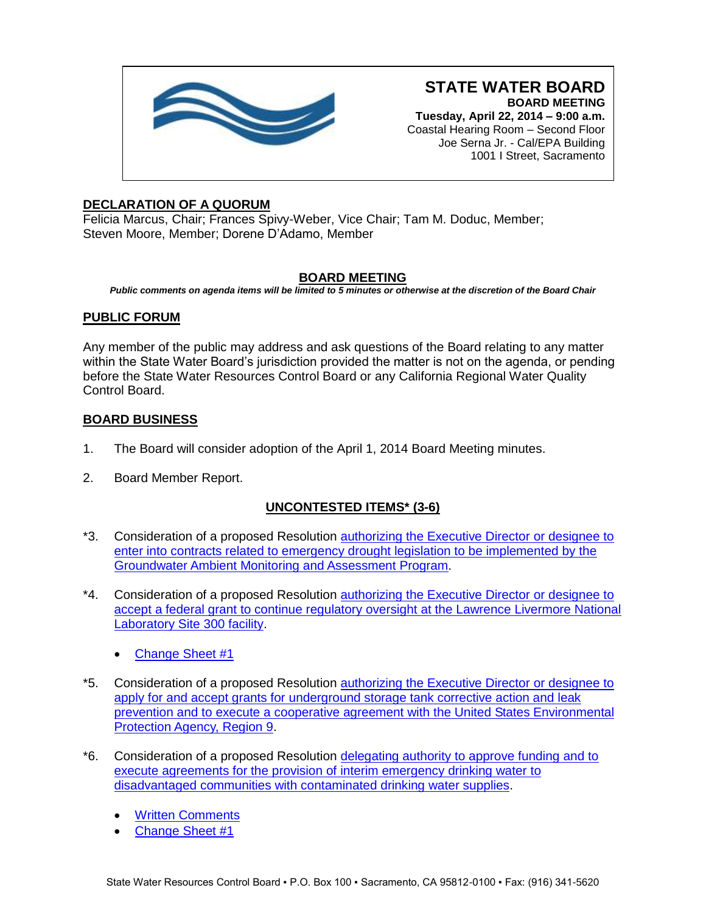

**STATE WATER BOARD BOARD MEETING Tuesday, April 22, 2014 – 9:00 a.m.** Coastal Hearing Room – Second Floor Joe Serna Jr. - Cal/EPA Building

1001 I Street, Sacramento

## **DECLARATION OF A QUORUM**

Felicia Marcus, Chair; Frances Spivy-Weber, Vice Chair; Tam M. Doduc, Member; Steven Moore, Member; Dorene D'Adamo, Member

## **BOARD MEETING**

*Public comments on agenda items will be limited to 5 minutes or otherwise at the discretion of the Board Chair*

## **PUBLIC FORUM**

Any member of the public may address and ask questions of the Board relating to any matter within the State Water Board's jurisdiction provided the matter is not on the agenda, or pending before the State Water Resources Control Board or any California Regional Water Quality Control Board.

### **BOARD BUSINESS**

- 1. The Board will consider adoption of the April 1, 2014 Board Meeting minutes.
- 2. Board Member Report.

# **UNCONTESTED ITEMS\* (3-6)**

- \*3. Consideration of a proposed Resolution [authorizing the Executive Director or designee to](http://www.waterboards.ca.gov/board_info/agendas/2014/apr/042214_3_withdo.pdf)  [enter into contracts related to emergency drought legislation to be implemented by the](http://www.waterboards.ca.gov/board_info/agendas/2014/apr/042214_3_withdo.pdf)  [Groundwater Ambient Monitoring and Assessment Program.](http://www.waterboards.ca.gov/board_info/agendas/2014/apr/042214_3_withdo.pdf)
- \*4. Consideration of a proposed Resolution **authorizing the Executive Director or designee to** accept a federal grant [to continue regulatory oversight at the Lawrence Livermore National](http://www.waterboards.ca.gov/board_info/agendas/2014/apr/042214_4_withdo.pdf)  [Laboratory Site 300 facility.](http://www.waterboards.ca.gov/board_info/agendas/2014/apr/042214_4_withdo.pdf)
	- [Change Sheet #1](http://www.waterboards.ca.gov/board_info/agendas/2014/apr/042214_4_changesheet1.pdf)
- \*5. Consideration of a proposed Resolution [authorizing the Executive Director or designee to](http://www.waterboards.ca.gov/board_info/agendas/2014/apr/042214_5_withdo.pdf)  [apply for and accept grants for underground storage tank corrective action and leak](http://www.waterboards.ca.gov/board_info/agendas/2014/apr/042214_5_withdo.pdf)  [prevention and to execute a cooperative agreement with the United States Environmental](http://www.waterboards.ca.gov/board_info/agendas/2014/apr/042214_5_withdo.pdf)  [Protection Agency, Region 9.](http://www.waterboards.ca.gov/board_info/agendas/2014/apr/042214_5_withdo.pdf)
- \*6. Consideration of a proposed Resolution [delegating authority to approve funding and to](http://www.waterboards.ca.gov/board_info/agendas/2014/apr/042214_6_withdo.pdf)  [execute agreements for the provision of interim emergency drinking water to](http://www.waterboards.ca.gov/board_info/agendas/2014/apr/042214_6_withdo.pdf)  [disadvantaged communities with contaminated drinking water supplies.](http://www.waterboards.ca.gov/board_info/agendas/2014/apr/042214_6_withdo.pdf)
	- [Written Comments](http://www.waterboards.ca.gov/board_info/agendas/2014/apr/comments042214_6/comments_edw.pdf)
	- [Change Sheet #1](http://www.waterboards.ca.gov/board_info/agendas/2014/apr/042214_6_changesheet1.pdf)